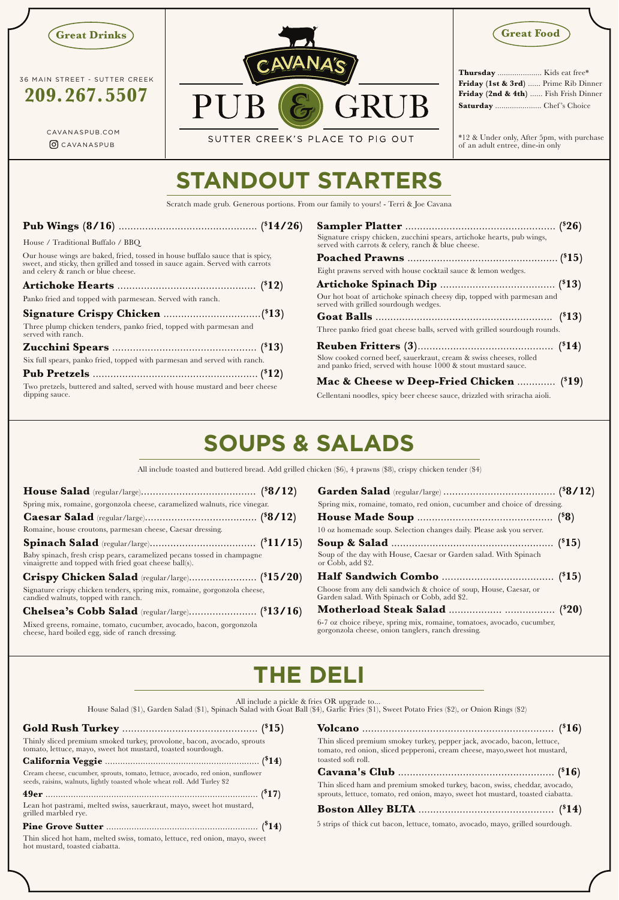Cellentani noodles, spicy beer cheese sauce, drizzled with sriracha aioli.

**209.267.5507**

### **Pub Wings (8/16)** ............................................... **(\$ 14/26)**

| Friday (1st & 3rd)  Prime Rib Dinner  |  |
|---------------------------------------|--|
| Friday (2nd & 4th)  Fish Frish Dinner |  |
| Saturday  Chef's Choice               |  |

SUTTER CREEK'S PLACE TO PIG OUT

#### \*12 & Under only, After 5pm, with purchase of an adult entree, dine-in only

## **STANDOUT STARTERS**

# **SOUPS & SALADS**

## **THE DELI**

All include a pickle & fries OR upgrade to.

Scratch made grub. Generous portions. From our family to yours! - Terri & Joe Cavana

All include toasted and buttered bread. Add grilled chicken (\$6), 4 prawns (\$8), crispy chicken tender (\$4)

House Salad (\$1), Garden Salad (\$1), Spinach Salad with Goat Ball (\$4), Garlic Fries (\$1), Sweet Potato Fries (\$2), or Onion Rings (\$2)

Our house wings are baked, fried, tossed in house buffalo sauce that is spicy, sweet, and sticky, then grilled and tossed in sauce again. Served with carrots and celery & ranch or blue cheese.

House / Traditional Buffalo / BBQ





| Signature crispy chicken, zucchini spears, artichoke hearts, pub wings,<br>served with carrots & celery, ranch & blue cheese.        |  |
|--------------------------------------------------------------------------------------------------------------------------------------|--|
|                                                                                                                                      |  |
| Eight prawns served with house cocktail sauce & lemon wedges.                                                                        |  |
|                                                                                                                                      |  |
| Our hot boat of artichoke spinach cheesy dip, topped with parmesan and<br>served with grilled sourdough wedges.                      |  |
|                                                                                                                                      |  |
| Three panko fried goat cheese balls, served with grilled sourdough rounds.                                                           |  |
| Slow cooked corned beef, sauerkraut, cream & swiss cheeses, rolled<br>and panko fried, served with house 1000 & stout mustard sauce. |  |
| Mac & Cheese w Deep-Fried Chicken  (\$19)                                                                                            |  |

| Panko fried and topped with parmesean. Served with ranch.                                                      |  |
|----------------------------------------------------------------------------------------------------------------|--|
|                                                                                                                |  |
| Three plump chicken tenders, panko fried, topped with parmesan and<br>served with ranch.                       |  |
|                                                                                                                |  |
| Six full spears, panko fried, topped with parmesan and served with ranch.                                      |  |
|                                                                                                                |  |
| rende de la constitución de la constitución de la constitución de la constitución de la constitución de la con |  |

Thin sliced hot ham, melted swiss, tomato, lettuce, red onion, mayo, sweet hot mustard, toasted ciabatta.

| Thinly sliced premium smoked turkey, provolone, bacon, avocado, sprouts tomato, lettuce, mayo, sweet hot mustard, toasted sourdough. | Thin sliced premium smokey turkey, pepper jack, avocado, bacon, lettuce,<br>tomato, red onion, sliced pepperoni, cream cheese, mayo, sweet hot mustard, |
|--------------------------------------------------------------------------------------------------------------------------------------|---------------------------------------------------------------------------------------------------------------------------------------------------------|
|                                                                                                                                      | toasted soft roll.                                                                                                                                      |
| Cream cheese, cucumber, sprouts, tomato, lettuce, avocado, red onion, sunflower                                                      |                                                                                                                                                         |
| seeds, raisins, walnuts, lightly toasted whole wheat roll. Add Turley \$2                                                            | Thin sliced ham and premium smoked turkey, bacon, swiss, cheddar, avocado,                                                                              |
|                                                                                                                                      | sprouts, lettuce, tomato, red onion, mayo, sweet hot mustard, toasted ciabatta.                                                                         |
| Lean hot pastrami, melted swiss, sauerkraut, mayo, sweet hot mustard,<br>grilled marbled rye.                                        |                                                                                                                                                         |
|                                                                                                                                      | 5 strips of thick cut bacon, lettuce, tomato, avocado, mayo, grilled sourdough.                                                                         |

CAVANASPUB.COM OCAVANASPUB

Two pretzels, buttered and salted, served with house mustard and beer cheese dipping sauce.

| Spring mix, romaine, gorgonzola cheese, caramelized walnuts, rice vinegar.                                                        |  |
|-----------------------------------------------------------------------------------------------------------------------------------|--|
|                                                                                                                                   |  |
| Romaine, house croutons, parmesan cheese, Caesar dressing.                                                                        |  |
|                                                                                                                                   |  |
| Baby spinach, fresh crisp pears, caramelized pecans tossed in champagne<br>vinaigrette and topped with fried goat cheese ball(s). |  |
|                                                                                                                                   |  |
| Signature crispy chicken tenders, spring mix, romaine, gorgonzola cheese,<br>candied walnuts, topped with ranch.                  |  |
|                                                                                                                                   |  |
| Mixed greens, romaine, tomato, cucumber, avocado, bacon, gorgonzola<br>cheese, hard boiled egg, side of ranch dressing.           |  |

| Spring mix, romaine, tomato, red onion, cucumber and choice of dressing.                                                   |  |
|----------------------------------------------------------------------------------------------------------------------------|--|
|                                                                                                                            |  |
| 10 oz homemade soup. Selection changes daily. Please ask you server.                                                       |  |
|                                                                                                                            |  |
| Soup of the day with House, Caesar or Garden salad. With Spinach<br>or Cobb, add \$2.                                      |  |
|                                                                                                                            |  |
| Choose from any deli sandwich & choice of soup, House, Caesar, or<br>Garden salad. With Spinach or Cobb, add \$2.          |  |
|                                                                                                                            |  |
| 6-7 oz choice ribeye, spring mix, romaine, tomatoes, avocado, cucumber, gorgonzola cheese, onion tanglers, ranch dressing. |  |



36 MAIN STREET - SUTTER CREEK